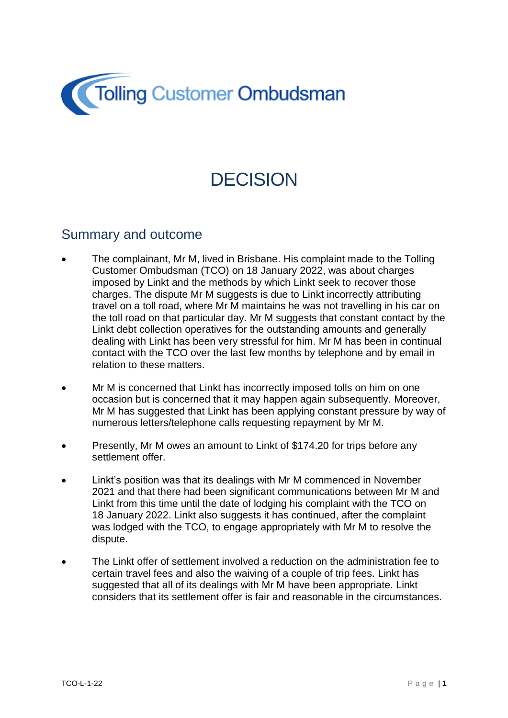

# **DECISION**

#### Summary and outcome

- The complainant, Mr M, lived in Brisbane. His complaint made to the Tolling Customer Ombudsman (TCO) on 18 January 2022, was about charges imposed by Linkt and the methods by which Linkt seek to recover those charges. The dispute Mr M suggests is due to Linkt incorrectly attributing travel on a toll road, where Mr M maintains he was not travelling in his car on the toll road on that particular day. Mr M suggests that constant contact by the Linkt debt collection operatives for the outstanding amounts and generally dealing with Linkt has been very stressful for him. Mr M has been in continual contact with the TCO over the last few months by telephone and by email in relation to these matters.
- Mr M is concerned that Linkt has incorrectly imposed tolls on him on one occasion but is concerned that it may happen again subsequently. Moreover, Mr M has suggested that Linkt has been applying constant pressure by way of numerous letters/telephone calls requesting repayment by Mr M.
- Presently, Mr M owes an amount to Linkt of \$174.20 for trips before any settlement offer.
- Linkt's position was that its dealings with Mr M commenced in November 2021 and that there had been significant communications between Mr M and Linkt from this time until the date of lodging his complaint with the TCO on 18 January 2022. Linkt also suggests it has continued, after the complaint was lodged with the TCO, to engage appropriately with Mr M to resolve the dispute.
- The Linkt offer of settlement involved a reduction on the administration fee to certain travel fees and also the waiving of a couple of trip fees. Linkt has suggested that all of its dealings with Mr M have been appropriate. Linkt considers that its settlement offer is fair and reasonable in the circumstances.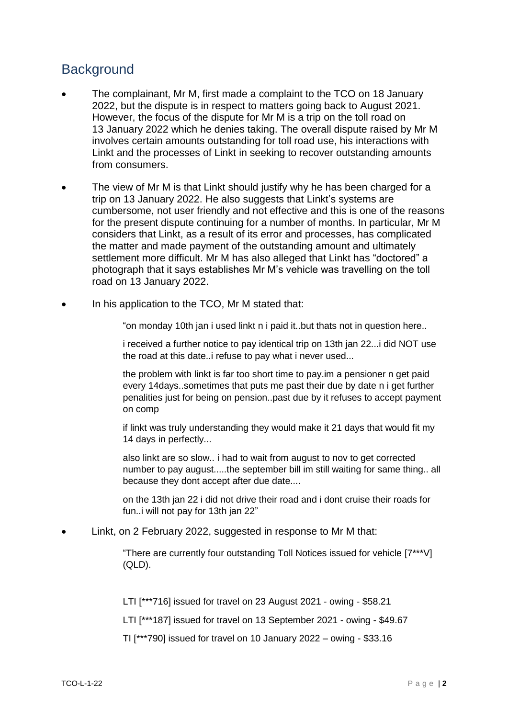### **Background**

- The complainant, Mr M, first made a complaint to the TCO on 18 January 2022, but the dispute is in respect to matters going back to August 2021. However, the focus of the dispute for Mr M is a trip on the toll road on 13 January 2022 which he denies taking. The overall dispute raised by Mr M involves certain amounts outstanding for toll road use, his interactions with Linkt and the processes of Linkt in seeking to recover outstanding amounts from consumers.
- The view of Mr M is that Linkt should justify why he has been charged for a trip on 13 January 2022. He also suggests that Linkt's systems are cumbersome, not user friendly and not effective and this is one of the reasons for the present dispute continuing for a number of months. In particular, Mr M considers that Linkt, as a result of its error and processes, has complicated the matter and made payment of the outstanding amount and ultimately settlement more difficult. Mr M has also alleged that Linkt has "doctored" a photograph that it says establishes Mr M's vehicle was travelling on the toll road on 13 January 2022.
- In his application to the TCO, Mr M stated that:
	- "on monday 10th jan i used linkt n i paid it..but thats not in question here..
	- i received a further notice to pay identical trip on 13th jan 22...i did NOT use the road at this date..i refuse to pay what i never used...
	- the problem with linkt is far too short time to pay.im a pensioner n get paid every 14days..sometimes that puts me past their due by date n i get further penalities just for being on pension..past due by it refuses to accept payment on comp
	- if linkt was truly understanding they would make it 21 days that would fit my 14 days in perfectly...
	- also linkt are so slow.. i had to wait from august to nov to get corrected number to pay august.....the september bill im still waiting for same thing.. all because they dont accept after due date....
	- on the 13th jan 22 i did not drive their road and i dont cruise their roads for fun..i will not pay for 13th jan 22"
- Linkt, on 2 February 2022, suggested in response to Mr M that:
	- "There are currently four outstanding Toll Notices issued for vehicle [7\*\*\*V] (QLD).
	- LTI [\*\*\*716] issued for travel on 23 August 2021 owing \$58.21
	- LTI [\*\*\*187] issued for travel on 13 September 2021 owing \$49.67
	- TI [\*\*\*790] issued for travel on 10 January 2022 owing \$33.16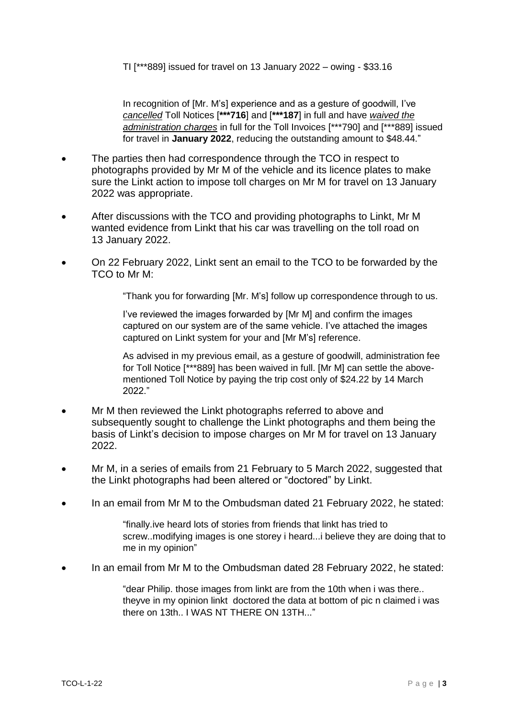In recognition of [Mr. M's] experience and as a gesture of goodwill, I've *cancelled* Toll Notices [**\*\*\*716**] and [**\*\*\*187**] in full and have *waived the administration charges* in full for the Toll Invoices [\*\*\*790] and [\*\*\*889] issued for travel in **January 2022**, reducing the outstanding amount to \$48.44."

- The parties then had correspondence through the TCO in respect to photographs provided by Mr M of the vehicle and its licence plates to make sure the Linkt action to impose toll charges on Mr M for travel on 13 January 2022 was appropriate.
- After discussions with the TCO and providing photographs to Linkt, Mr M wanted evidence from Linkt that his car was travelling on the toll road on 13 January 2022.
- On 22 February 2022, Linkt sent an email to the TCO to be forwarded by the TCO to Mr M:

"Thank you for forwarding [Mr. M's] follow up correspondence through to us.

I've reviewed the images forwarded by [Mr M] and confirm the images captured on our system are of the same vehicle. I've attached the images captured on Linkt system for your and [Mr M's] reference.

As advised in my previous email, as a gesture of goodwill, administration fee for Toll Notice [\*\*\*889] has been waived in full. [Mr M] can settle the abovementioned Toll Notice by paying the trip cost only of \$24.22 by 14 March 2022."

- Mr M then reviewed the Linkt photographs referred to above and subsequently sought to challenge the Linkt photographs and them being the basis of Linkt's decision to impose charges on Mr M for travel on 13 January 2022.
- Mr M, in a series of emails from 21 February to 5 March 2022, suggested that the Linkt photographs had been altered or "doctored" by Linkt.
- In an email from Mr M to the Ombudsman dated 21 February 2022, he stated:

"finally.ive heard lots of stories from friends that linkt has tried to screw..modifying images is one storey i heard...i believe they are doing that to me in my opinion"

In an email from Mr M to the Ombudsman dated 28 February 2022, he stated:

"dear Philip. those images from linkt are from the 10th when i was there.. theyve in my opinion linkt doctored the data at bottom of pic n claimed i was there on 13th... I WAS NT THERE ON 13TH..."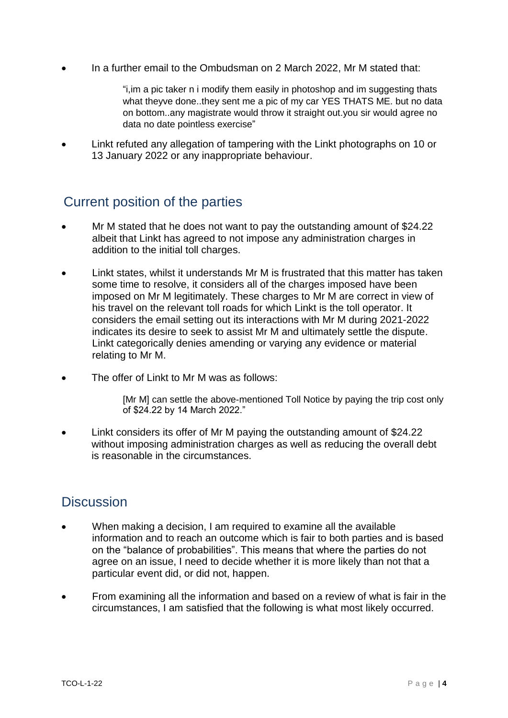In a further email to the Ombudsman on 2 March 2022, Mr M stated that:

"i,im a pic taker n i modify them easily in photoshop and im suggesting thats what theyve done..they sent me a pic of my car YES THATS ME. but no data on bottom..any magistrate would throw it straight out.you sir would agree no data no date pointless exercise"

 Linkt refuted any allegation of tampering with the Linkt photographs on 10 or 13 January 2022 or any inappropriate behaviour.

## Current position of the parties

- Mr M stated that he does not want to pay the outstanding amount of \$24.22 albeit that Linkt has agreed to not impose any administration charges in addition to the initial toll charges.
- Linkt states, whilst it understands Mr M is frustrated that this matter has taken some time to resolve, it considers all of the charges imposed have been imposed on Mr M legitimately. These charges to Mr M are correct in view of his travel on the relevant toll roads for which Linkt is the toll operator. It considers the email setting out its interactions with Mr M during 2021-2022 indicates its desire to seek to assist Mr M and ultimately settle the dispute. Linkt categorically denies amending or varying any evidence or material relating to Mr M.
- The offer of Linkt to Mr M was as follows:

[Mr M] can settle the above-mentioned Toll Notice by paying the trip cost only of \$24.22 by 14 March 2022."

 Linkt considers its offer of Mr M paying the outstanding amount of \$24.22 without imposing administration charges as well as reducing the overall debt is reasonable in the circumstances.

#### **Discussion**

- When making a decision, I am required to examine all the available information and to reach an outcome which is fair to both parties and is based on the "balance of probabilities". This means that where the parties do not agree on an issue, I need to decide whether it is more likely than not that a particular event did, or did not, happen.
- From examining all the information and based on a review of what is fair in the circumstances, I am satisfied that the following is what most likely occurred.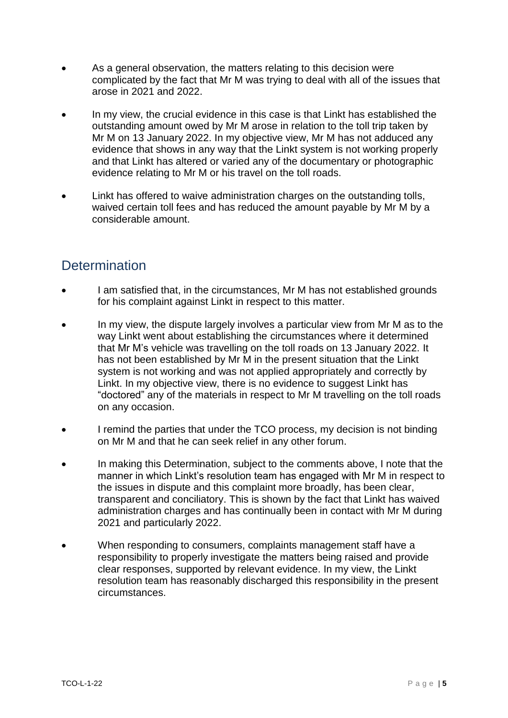- As a general observation, the matters relating to this decision were complicated by the fact that Mr M was trying to deal with all of the issues that arose in 2021 and 2022.
- In my view, the crucial evidence in this case is that Linkt has established the outstanding amount owed by Mr M arose in relation to the toll trip taken by Mr M on 13 January 2022. In my objective view, Mr M has not adduced any evidence that shows in any way that the Linkt system is not working properly and that Linkt has altered or varied any of the documentary or photographic evidence relating to Mr M or his travel on the toll roads.
- Linkt has offered to waive administration charges on the outstanding tolls, waived certain toll fees and has reduced the amount payable by Mr M by a considerable amount.

## **Determination**

- I am satisfied that, in the circumstances, Mr M has not established grounds for his complaint against Linkt in respect to this matter.
- In my view, the dispute largely involves a particular view from Mr M as to the way Linkt went about establishing the circumstances where it determined that Mr M's vehicle was travelling on the toll roads on 13 January 2022. It has not been established by Mr M in the present situation that the Linkt system is not working and was not applied appropriately and correctly by Linkt. In my objective view, there is no evidence to suggest Linkt has "doctored" any of the materials in respect to Mr M travelling on the toll roads on any occasion.
- I remind the parties that under the TCO process, my decision is not binding on Mr M and that he can seek relief in any other forum.
- In making this Determination, subject to the comments above, I note that the manner in which Linkt's resolution team has engaged with Mr M in respect to the issues in dispute and this complaint more broadly, has been clear, transparent and conciliatory. This is shown by the fact that Linkt has waived administration charges and has continually been in contact with Mr M during 2021 and particularly 2022.
- When responding to consumers, complaints management staff have a responsibility to properly investigate the matters being raised and provide clear responses, supported by relevant evidence. In my view, the Linkt resolution team has reasonably discharged this responsibility in the present circumstances.